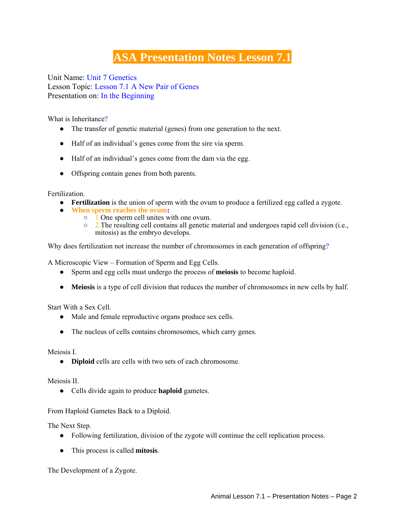## **ASA Presentation Notes Lesson 7.1**

Unit Name: Unit 7 Genetics Lesson Topic: Lesson 7.1 A New Pair of Genes Presentation on: In the Beginning

What is Inheritance?

- The transfer of genetic material (genes) from one generation to the next.
- Half of an individual's genes come from the sire via sperm.
- Half of an individual's genes come from the dam via the egg.
- Offspring contain genes from both parents.

Fertilization.

- **• Fertilization** is the union of sperm with the ovum to produce a fertilized egg called a zygote.
- **When sperm reaches the ovum:**
	- 1.One sperm cell unites with one ovum.
	- 2.The resulting cell contains all genetic material and undergoes rapid cell division (i.e., mitosis) as the embryo develops.

Why does fertilization not increase the number of chromosomes in each generation of offspring?

A Microscopic View – Formation of Sperm and Egg Cells.

- Sperm and egg cells must undergo the process of **meiosis** to become haploid.
- **Meiosis** is a type of cell division that reduces the number of chromosomes in new cells by half.

Start With a Sex Cell.

- Male and female reproductive organs produce sex cells.
- The nucleus of cells contains chromosomes, which carry genes.

Meiosis I.

● **Diploid** cells are cells with two sets of each chromosome.

Meiosis II.

● Cells divide again to produce **haploid** gametes.

From Haploid Gametes Back to a Diploid.

The Next Step.

- Following fertilization, division of the zygote will continue the cell replication process.
- This process is called **mitosis**.

The Development of a Zygote.